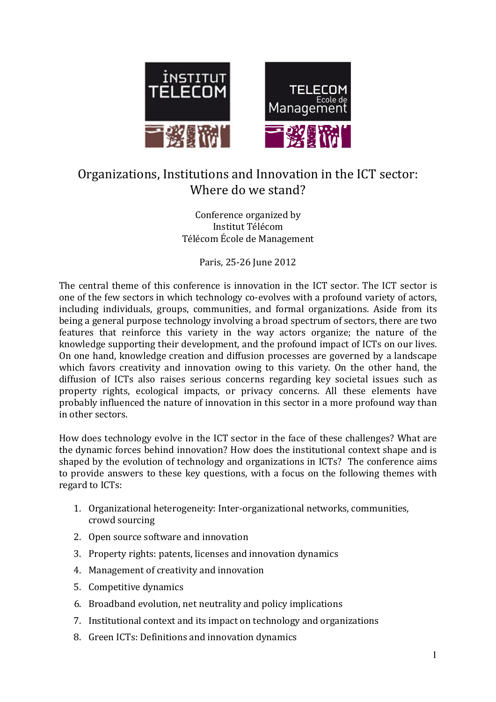

# Organizations, Institutions and Innovation in the ICT sector: Where do we stand?

#### Conference organized by Institut Télécom Télécom École de Management

Paris, 25-26 June 2012

The central theme of this conference is innovation in the ICT sector. The ICT sector is one of the few sectors in which technology co-evolves with a profound variety of actors, including individuals, groups, communities, and formal organizations. Aside from its being a general purpose technology involving a broad spectrum of sectors, there are two features that reinforce this variety in the way actors organize; the nature of the knowledge supporting their development, and the profound impact of ICTs on our lives. On one hand, knowledge creation and diffusion processes are governed by a landscape which favors creativity and innovation owing to this variety. On the other hand, the diffusion of ICTs also raises serious concerns regarding key societal issues such as property rights, ecological impacts, or privacy concerns. All these elements have probably influenced the nature of innovation in this sector in a more profound way than in other sectors.

How does technology evolve in the ICT sector in the face of these challenges? What are the dynamic forces behind innovation? How does the institutional context shape and is shaped by the evolution of technology and organizations in ICTs? The conference aims to provide answers to these key questions, with a focus on the following themes with regard to ICTs:

- 1. Organizational heterogeneity: Inter-organizational networks, communities, crowd sourcing
- 2. Open source software and innovation
- 3. Property rights: patents, licenses and innovation dynamics
- 4. Management of creativity and innovation
- 5. Competitive dynamics
- 6. Broadband evolution, net neutrality and policy implications
- 7. Institutional context and its impact on technology and organizations
- 8. Green ICTs: Definitions and innovation dynamics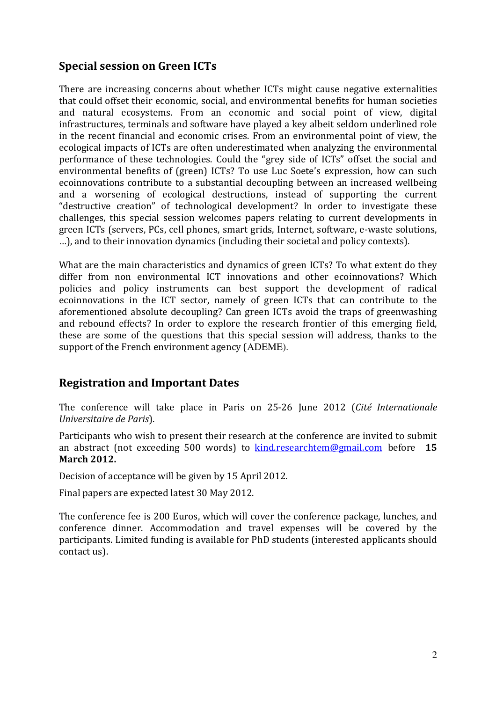### Special session on Green ICTs

There are increasing concerns about whether ICTs might cause negative externalities that could offset their economic, social, and environmental benefits for human societies and natural ecosystems. From an economic and social point of view, digital infrastructures, terminals and software have played a key albeit seldom underlined role in the recent financial and economic crises. From an environmental point of view, the ecological impacts of ICTs are often underestimated when analyzing the environmental performance of these technologies. Could the "grey side of ICTs" offset the social and environmental benefits of (green) ICTs? To use Luc Soete's expression, how can such ecoinnovations contribute to a substantial decoupling between an increased wellbeing and a worsening of ecological destructions, instead of supporting the current "destructive creation" of technological development? In order to investigate these challenges, this special session welcomes papers relating to current developments in green ICTs (servers, PCs, cell phones, smart grids, Internet, software, e-waste solutions, …), and to their innovation dynamics (including their societal and policy contexts).

What are the main characteristics and dynamics of green ICTs? To what extent do they differ from non environmental ICT innovations and other ecoinnovations? Which policies and policy instruments can best support the development of radical ecoinnovations in the ICT sector, namely of green ICTs that can contribute to the aforementioned absolute decoupling? Can green ICTs avoid the traps of greenwashing and rebound effects? In order to explore the research frontier of this emerging field, these are some of the questions that this special session will address, thanks to the support of the French environment agency (ADEME).

### Registration and Important Dates

The conference will take place in Paris on 25-26 June 2012 (Cité Internationale Universitaire de Paris).

Participants who wish to present their research at the conference are invited to submit an abstract (not exceeding 500 words) to  $\frac{\text{kind.} \text{rese} \cdot \text{int} \cdot \text{exp}(\text{const.} \cdot \text{int})}{\text{er} \cdot \text{int} \cdot \text{int} \cdot \text{int} \cdot \text{int} \cdot \text{int} \cdot \text{int} \cdot \text{int} \cdot \text{int} \cdot \text{int} \cdot \text{int} \cdot \text{int} \cdot \text{int} \cdot \text{int} \cdot \text{int} \cdot \text{int} \cdot \text{int} \cdot \text{int} \cdot \text{int} \cdot \text{int$ March 2012.

Decision of acceptance will be given by 15 April 2012.

Final papers are expected latest 30 May 2012.

The conference fee is 200 Euros, which will cover the conference package, lunches, and conference dinner. Accommodation and travel expenses will be covered by the participants. Limited funding is available for PhD students (interested applicants should contact us).